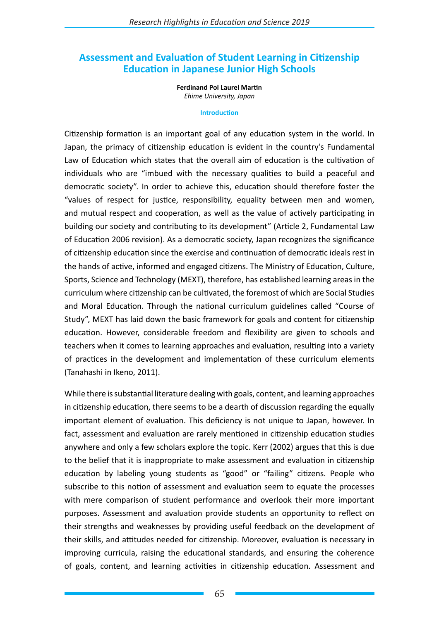# **Assessment and Evaluation of Student Learning in Citizenship Education in Japanese Junior High Schools**

**Ferdinand Pol Laurel Martin** *Ehime University, Japan*

#### **Introduction**

Citizenship formation is an important goal of any education system in the world. In Japan, the primacy of citizenship education is evident in the country's Fundamental Law of Education which states that the overall aim of education is the cultivation of individuals who are "imbued with the necessary qualities to build a peaceful and democratic society". In order to achieve this, education should therefore foster the "values of respect for justice, responsibility, equality between men and women, and mutual respect and cooperation, as well as the value of actively participating in building our society and contributing to its development" (Article 2, Fundamental Law of Education 2006 revision). As a democratic society, Japan recognizes the significance of citizenship education since the exercise and continuation of democratic ideals rest in the hands of active, informed and engaged citizens. The Ministry of Education, Culture, Sports, Science and Technology (MEXT), therefore, has established learning areas in the curriculum where citizenship can be cultivated, the foremost of which are Social Studies and Moral Education. Through the national curriculum guidelines called "Course of Study", MEXT has laid down the basic framework for goals and content for citizenship education. However, considerable freedom and flexibility are given to schools and teachers when it comes to learning approaches and evaluation, resulting into a variety of practices in the development and implementation of these curriculum elements (Tanahashi in Ikeno, 2011).

While there is substantial literature dealing with goals, content, and learning approaches in citizenship education, there seems to be a dearth of discussion regarding the equally important element of evaluation. This deficiency is not unique to Japan, however. In fact, assessment and evaluation are rarely mentioned in citizenship education studies anywhere and only a few scholars explore the topic. Kerr (2002) argues that this is due to the belief that it is inappropriate to make assessment and evaluation in citizenship education by labeling young students as "good" or "failing" citizens. People who subscribe to this notion of assessment and evaluation seem to equate the processes with mere comparison of student performance and overlook their more important purposes. Assessment and avaluation provide students an opportunity to reflect on their strengths and weaknesses by providing useful feedback on the development of their skills, and attitudes needed for citizenship. Moreover, evaluation is necessary in improving curricula, raising the educational standards, and ensuring the coherence of goals, content, and learning activities in citizenship education. Assessment and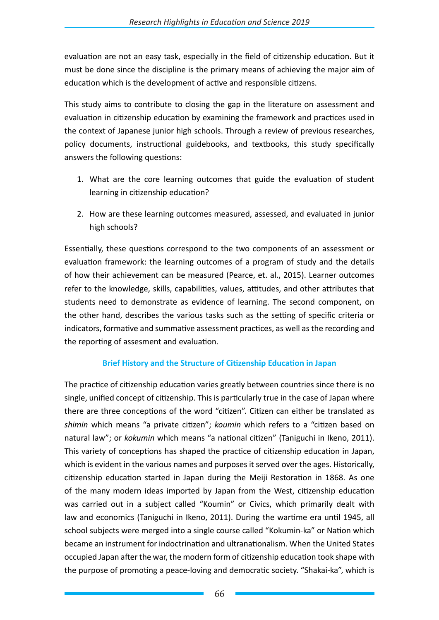evaluation are not an easy task, especially in the field of citizenship education. But it must be done since the discipline is the primary means of achieving the major aim of education which is the development of active and responsible citizens.

This study aims to contribute to closing the gap in the literature on assessment and evaluation in citizenship education by examining the framework and practices used in the context of Japanese junior high schools. Through a review of previous researches, policy documents, instructional guidebooks, and textbooks, this study specifically answers the following questions:

- 1. What are the core learning outcomes that guide the evaluation of student learning in citizenship education?
- 2. How are these learning outcomes measured, assessed, and evaluated in junior high schools?

Essentially, these questions correspond to the two components of an assessment or evaluation framework: the learning outcomes of a program of study and the details of how their achievement can be measured (Pearce, et. al., 2015). Learner outcomes refer to the knowledge, skills, capabilities, values, attitudes, and other attributes that students need to demonstrate as evidence of learning. The second component, on the other hand, describes the various tasks such as the setting of specific criteria or indicators, formative and summative assessment practices, as well as the recording and the reporting of assesment and evaluation.

## **Brief History and the Structure of Citizenship Education in Japan**

The practice of citizenship education varies greatly between countries since there is no single, unified concept of citizenship. This is particularly true in the case of Japan where there are three conceptions of the word "citizen". Citizen can either be translated as *shimin* which means "a private citizen"; *koumin* which refers to a "citizen based on natural law"; or *kokumin* which means "a national citizen" (Taniguchi in Ikeno, 2011). This variety of conceptions has shaped the practice of citizenship education in Japan, which is evident in the various names and purposes it served over the ages. Historically, citizenship education started in Japan during the Meiji Restoration in 1868. As one of the many modern ideas imported by Japan from the West, citizenship education was carried out in a subject called "Koumin" or Civics, which primarily dealt with law and economics (Taniguchi in Ikeno, 2011). During the wartime era until 1945, all school subjects were merged into a single course called "Kokumin-ka" or Nation which became an instrument for indoctrination and ultranationalism. When the United States occupied Japan after the war, the modern form of citizenship education took shape with the purpose of promoting a peace-loving and democratic society. "Shakai-ka", which is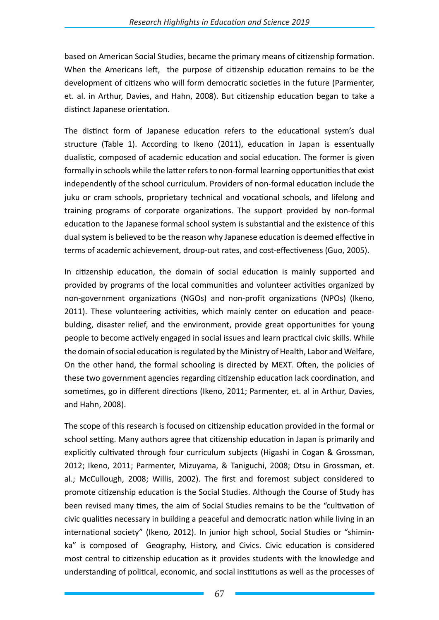based on American Social Studies, became the primary means of citizenship formation. When the Americans left, the purpose of citizenship education remains to be the development of citizens who will form democratic societies in the future (Parmenter, et. al. in Arthur, Davies, and Hahn, 2008). But citizenship education began to take a distinct Japanese orientation.

The distinct form of Japanese education refers to the educational system's dual structure (Table 1). According to Ikeno (2011), education in Japan is essentually dualistic, composed of academic education and social education. The former is given formally in schools while the latter refers to non-formal learning opportunities that exist independently of the school curriculum. Providers of non-formal education include the juku or cram schools, proprietary technical and vocational schools, and lifelong and training programs of corporate organizations. The support provided by non-formal education to the Japanese formal school system is substantial and the existence of this dual system is believed to be the reason why Japanese education is deemed effective in terms of academic achievement, droup-out rates, and cost-effectiveness (Guo, 2005).

In citizenship education, the domain of social education is mainly supported and provided by programs of the local communities and volunteer activities organized by non-government organizations (NGOs) and non-profit organizations (NPOs) (Ikeno, 2011). These volunteering activities, which mainly center on education and peacebulding, disaster relief, and the environment, provide great opportunities for young people to become actively engaged in social issues and learn practical civic skills. While the domain of social education is regulated by the Ministry of Health, Labor and Welfare, On the other hand, the formal schooling is directed by MEXT. Often, the policies of these two government agencies regarding citizenship education lack coordination, and sometimes, go in different directions (Ikeno, 2011; Parmenter, et. al in Arthur, Davies, and Hahn, 2008).

The scope of this research is focused on citizenship education provided in the formal or school setting. Many authors agree that citizenship education in Japan is primarily and explicitly cultivated through four curriculum subjects (Higashi in Cogan & Grossman, 2012; Ikeno, 2011; Parmenter, Mizuyama, & Taniguchi, 2008; Otsu in Grossman, et. al.; McCullough, 2008; Willis, 2002). The first and foremost subject considered to promote citizenship education is the Social Studies. Although the Course of Study has been revised many times, the aim of Social Studies remains to be the "cultivation of civic qualities necessary in building a peaceful and democratic nation while living in an international society" (Ikeno, 2012). In junior high school, Social Studies or "shiminka" is composed of Geography, History, and Civics. Civic education is considered most central to citizenship education as it provides students with the knowledge and understanding of political, economic, and social institutions as well as the processes of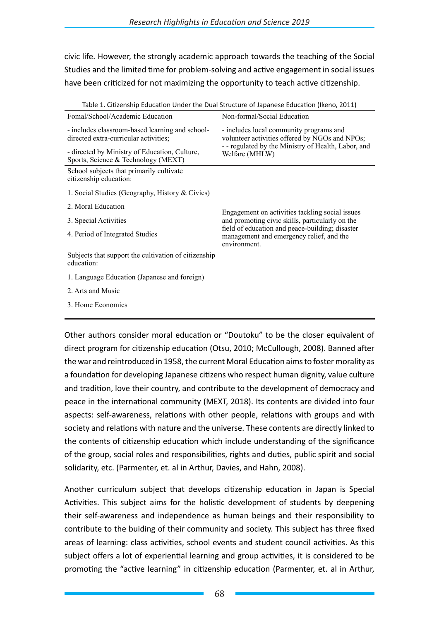civic life. However, the strongly academic approach towards the teaching of the Social Studies and the limited time for problem-solving and active engagement in social issues have been criticized for not maximizing the opportunity to teach active citizenship.

| Table 1. Chizenship Education Onder the Dual Structure or Japanese Education (ikend, 2011) |                                                                                                             |
|--------------------------------------------------------------------------------------------|-------------------------------------------------------------------------------------------------------------|
| Fomal/School/Academic Education                                                            | Non-formal/Social Education                                                                                 |
| - includes classroom-based learning and school-<br>directed extra-curricular activities;   | - includes local community programs and<br>volunteer activities offered by NGOs and NPOs;                   |
| - directed by Ministry of Education, Culture,<br>Sports, Science & Technology (MEXT)       | - - regulated by the Ministry of Health, Labor, and<br>Welfare (MHLW)                                       |
| School subjects that primarily cultivate<br>citizenship education:                         |                                                                                                             |
| 1. Social Studies (Geography, History & Civics)                                            |                                                                                                             |
| 2. Moral Education                                                                         | Engagement on activities tackling social issues                                                             |
| 3. Special Activities                                                                      | and promoting civic skills, particularly on the                                                             |
| 4. Period of Integrated Studies                                                            | field of education and peace-building; disaster<br>management and emergency relief, and the<br>environment. |
| Subjects that support the cultivation of citizenship<br>education:                         |                                                                                                             |
| 1. Language Education (Japanese and foreign)                                               |                                                                                                             |
| 2. Arts and Music                                                                          |                                                                                                             |
| 3. Home Economics                                                                          |                                                                                                             |

Table 1. Citizenship Education Under the Dual Structure of Japanese Education (Ikeno, 2011)

Other authors consider moral education or "Doutoku" to be the closer equivalent of direct program for citizenship education (Otsu, 2010; McCullough, 2008). Banned after the war and reintroduced in 1958, the current Moral Education aims to foster morality as a foundation for developing Japanese citizens who respect human dignity, value culture and tradition, love their country, and contribute to the development of democracy and peace in the international community (MEXT, 2018). Its contents are divided into four aspects: self-awareness, relations with other people, relations with groups and with society and relations with nature and the universe. These contents are directly linked to the contents of citizenship education which include understanding of the significance of the group, social roles and responsibilities, rights and duties, public spirit and social solidarity, etc. (Parmenter, et. al in Arthur, Davies, and Hahn, 2008).

Another curriculum subject that develops citizenship education in Japan is Special Activities. This subject aims for the holistic development of students by deepening their self-awareness and independence as human beings and their responsibility to contribute to the buiding of their community and society. This subject has three fixed areas of learning: class activities, school events and student council activities. As this subject offers a lot of experiential learning and group activities, it is considered to be promoting the "active learning" in citizenship education (Parmenter, et. al in Arthur,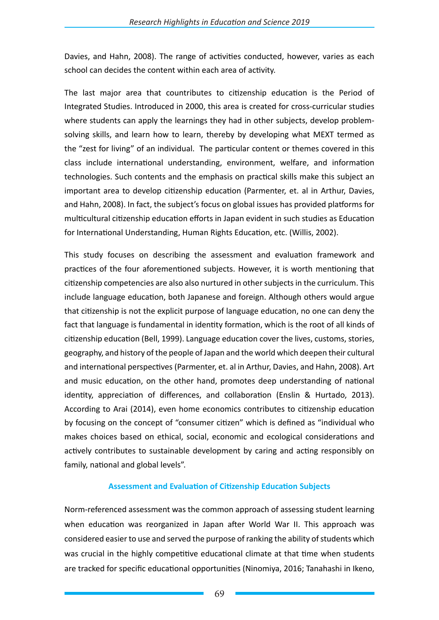Davies, and Hahn, 2008). The range of activities conducted, however, varies as each school can decides the content within each area of activity.

The last major area that countributes to citizenship education is the Period of Integrated Studies. Introduced in 2000, this area is created for cross-curricular studies where students can apply the learnings they had in other subjects, develop problemsolving skills, and learn how to learn, thereby by developing what MEXT termed as the "zest for living" of an individual. The particular content or themes covered in this class include international understanding, environment, welfare, and information technologies. Such contents and the emphasis on practical skills make this subject an important area to develop citizenship education (Parmenter, et. al in Arthur, Davies, and Hahn, 2008). In fact, the subject's focus on global issues has provided platforms for multicultural citizenship education efforts in Japan evident in such studies as Education for International Understanding, Human Rights Education, etc. (Willis, 2002).

This study focuses on describing the assessment and evaluation framework and practices of the four aforementioned subjects. However, it is worth mentioning that citizenship competencies are also also nurtured in other subjects in the curriculum. This include language education, both Japanese and foreign. Although others would argue that citizenship is not the explicit purpose of language education, no one can deny the fact that language is fundamental in identity formation, which is the root of all kinds of citizenship education (Bell, 1999). Language education cover the lives, customs, stories, geography, and history of the people of Japan and the world which deepen their cultural and international perspectives (Parmenter, et. al in Arthur, Davies, and Hahn, 2008). Art and music education, on the other hand, promotes deep understanding of national identity, appreciation of differences, and collaboration (Enslin & Hurtado, 2013). According to Arai (2014), even home economics contributes to citizenship education by focusing on the concept of "consumer citizen" which is defined as "individual who makes choices based on ethical, social, economic and ecological considerations and actively contributes to sustainable development by caring and acting responsibly on family, national and global levels".

## **Assessment and Evaluation of Citizenship Education Subjects**

Norm-referenced assessment was the common approach of assessing student learning when education was reorganized in Japan after World War II. This approach was considered easier to use and served the purpose of ranking the ability of students which was crucial in the highly competitive educational climate at that time when students are tracked for specific educational opportunities (Ninomiya, 2016; Tanahashi in Ikeno,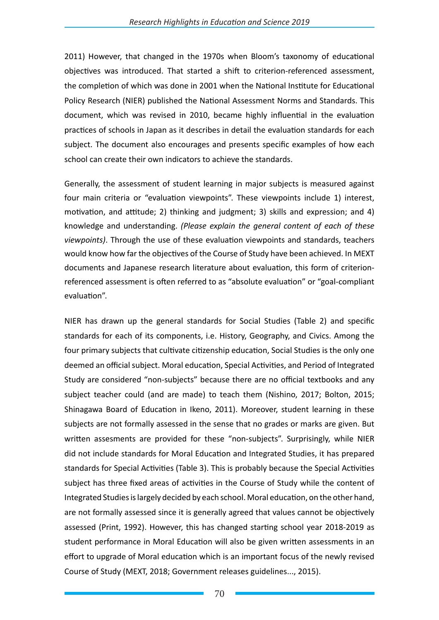2011) However, that changed in the 1970s when Bloom's taxonomy of educational objectives was introduced. That started a shift to criterion-referenced assessment, the completion of which was done in 2001 when the National Institute for Educational Policy Research (NIER) published the National Assessment Norms and Standards. This document, which was revised in 2010, became highly influential in the evaluation practices of schools in Japan as it describes in detail the evaluation standards for each subject. The document also encourages and presents specific examples of how each school can create their own indicators to achieve the standards.

Generally, the assessment of student learning in major subjects is measured against four main criteria or "evaluation viewpoints". These viewpoints include 1) interest, motivation, and attitude; 2) thinking and judgment; 3) skills and expression; and 4) knowledge and understanding. *(Please explain the general content of each of these viewpoints)*. Through the use of these evaluation viewpoints and standards, teachers would know how far the objectives of the Course of Study have been achieved. In MEXT documents and Japanese research literature about evaluation, this form of criterionreferenced assessment is often referred to as "absolute evaluation" or "goal-compliant evaluation".

NIER has drawn up the general standards for Social Studies (Table 2) and specific standards for each of its components, i.e. History, Geography, and Civics. Among the four primary subjects that cultivate citizenship education, Social Studies is the only one deemed an official subject. Moral education, Special Activities, and Period of Integrated Study are considered "non-subjects" because there are no official textbooks and any subject teacher could (and are made) to teach them (Nishino, 2017; Bolton, 2015; Shinagawa Board of Education in Ikeno, 2011). Moreover, student learning in these subjects are not formally assessed in the sense that no grades or marks are given. But written assesments are provided for these "non-subjects". Surprisingly, while NIER did not include standards for Moral Education and Integrated Studies, it has prepared standards for Special Activities (Table 3). This is probably because the Special Activities subject has three fixed areas of activities in the Course of Study while the content of Integrated Studies is largely decided by each school. Moral education, on the other hand, are not formally assessed since it is generally agreed that values cannot be objectively assessed (Print, 1992). However, this has changed starting school year 2018-2019 as student performance in Moral Education will also be given written assessments in an effort to upgrade of Moral education which is an important focus of the newly revised Course of Study (MEXT, 2018; Government releases guidelines..., 2015).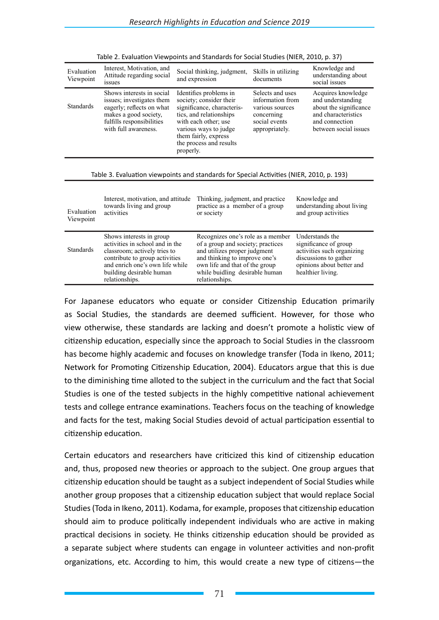| Evaluation<br>Viewpoint | Interest, Motivation, and<br>Attitude regarding social<br><i>ssues</i>                                                                                            | Social thinking, judgment,<br>and expression                                                                                                                                                                                | Skills in utilizing<br>documents                                                                         | Knowledge and<br>understanding about<br>social issues                                                                               |
|-------------------------|-------------------------------------------------------------------------------------------------------------------------------------------------------------------|-----------------------------------------------------------------------------------------------------------------------------------------------------------------------------------------------------------------------------|----------------------------------------------------------------------------------------------------------|-------------------------------------------------------------------------------------------------------------------------------------|
| <b>Standards</b>        | Shows interests in social<br>issues; investigates them<br>eagerly; reflects on what<br>makes a good society,<br>fulfills responsibilities<br>with full awareness. | Identifies problems in<br>society; consider their<br>significance, characteris-<br>tics, and relationships<br>with each other; use<br>various ways to judge<br>them fairly, express<br>the process and results<br>properly. | Selects and uses<br>information from<br>various sources<br>concerning<br>social events<br>appropriately. | Acquires knowledge<br>and understanding<br>about the significance<br>and characteristics<br>and connection<br>between social issues |
|                         |                                                                                                                                                                   |                                                                                                                                                                                                                             |                                                                                                          |                                                                                                                                     |

| Table 2. Evaluation Viewpoints and Standards for Social Studies (NIER, 2010, p. 37) |  |  |  |  |  |
|-------------------------------------------------------------------------------------|--|--|--|--|--|
|-------------------------------------------------------------------------------------|--|--|--|--|--|

#### Table 3. Evaluation viewpoints and standards for Special Activities (NIER, 2010, p. 193)

| Evaluation<br>Viewpoint | Interest, motivation, and attitude<br>towards living and group<br>activities                                                                                                                                   | Thinking, judgment, and practice<br>practice as a member of a group<br>or society                                                                                                                                             | Knowledge and<br>understanding about living<br>and group activities                                                                               |
|-------------------------|----------------------------------------------------------------------------------------------------------------------------------------------------------------------------------------------------------------|-------------------------------------------------------------------------------------------------------------------------------------------------------------------------------------------------------------------------------|---------------------------------------------------------------------------------------------------------------------------------------------------|
| <b>Standards</b>        | Shows interests in group<br>activities in school and in the<br>classroom; actively tries to<br>contribute to group activities<br>and enrich one's own life while<br>building desirable human<br>relationships. | Recognizes one's role as a member<br>of a group and society; practices<br>and utilizes proper judgment<br>and thinking to improve one's<br>own life and that of the group<br>while buidling desirable human<br>relationships. | Understands the<br>significance of group<br>activities such organizing<br>discussions to gather<br>opinions about better and<br>healthier living. |

For Japanese educators who equate or consider Citizenship Education primarily as Social Studies, the standards are deemed sufficient. However, for those who view otherwise, these standards are lacking and doesn't promote a holistic view of citizenship education, especially since the approach to Social Studies in the classroom has become highly academic and focuses on knowledge transfer (Toda in Ikeno, 2011; Network for Promoting Citizenship Education, 2004). Educators argue that this is due to the diminishing time alloted to the subject in the curriculum and the fact that Social Studies is one of the tested subjects in the highly competitive national achievement tests and college entrance examinations. Teachers focus on the teaching of knowledge and facts for the test, making Social Studies devoid of actual participation essential to citizenship education.

Certain educators and researchers have criticized this kind of citizenship education and, thus, proposed new theories or approach to the subject. One group argues that citizenship education should be taught as a subject independent of Social Studies while another group proposes that a citizenship education subject that would replace Social Studies (Toda in Ikeno, 2011). Kodama, for example, proposes that citizenship education should aim to produce politically independent individuals who are active in making practical decisions in society. He thinks citizenship education should be provided as a separate subject where students can engage in volunteer activities and non-profit organizations, etc. According to him, this would create a new type of citizens—the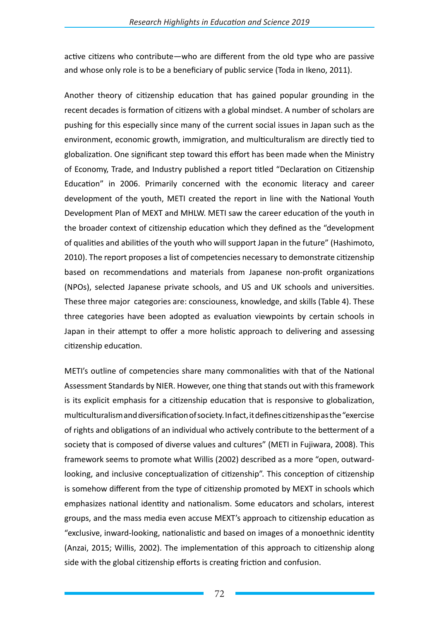active citizens who contribute—who are different from the old type who are passive and whose only role is to be a beneficiary of public service (Toda in Ikeno, 2011).

Another theory of citizenship education that has gained popular grounding in the recent decades is formation of citizens with a global mindset. A number of scholars are pushing for this especially since many of the current social issues in Japan such as the environment, economic growth, immigration, and multiculturalism are directly tied to globalization. One significant step toward this effort has been made when the Ministry of Economy, Trade, and Industry published a report titled "Declaration on Citizenship Education" in 2006. Primarily concerned with the economic literacy and career development of the youth, METI created the report in line with the National Youth Development Plan of MEXT and MHLW. METI saw the career education of the youth in the broader context of citizenship education which they defined as the "development of qualities and abilities of the youth who will support Japan in the future" (Hashimoto, 2010). The report proposes a list of competencies necessary to demonstrate citizenship based on recommendations and materials from Japanese non-profit organizations (NPOs), selected Japanese private schools, and US and UK schools and universities. These three major categories are: consciouness, knowledge, and skills (Table 4). These three categories have been adopted as evaluation viewpoints by certain schools in Japan in their attempt to offer a more holistic approach to delivering and assessing citizenship education.

METI's outline of competencies share many commonalities with that of the National Assessment Standards by NIER. However, one thing that stands out with this framework is its explicit emphasis for a citizenship education that is responsive to globalization, multiculturalism and diversification of society. In fact, it defines citizenship as the "exercise of rights and obligations of an individual who actively contribute to the betterment of a society that is composed of diverse values and cultures" (METI in Fujiwara, 2008). This framework seems to promote what Willis (2002) described as a more "open, outwardlooking, and inclusive conceptualization of citizenship". This conception of citizenship is somehow different from the type of citizenship promoted by MEXT in schools which emphasizes national identity and nationalism. Some educators and scholars, interest groups, and the mass media even accuse MEXT's approach to citizenship education as "exclusive, inward-looking, nationalistic and based on images of a monoethnic identity (Anzai, 2015; Willis, 2002). The implementation of this approach to citizenship along side with the global citizenship efforts is creating friction and confusion.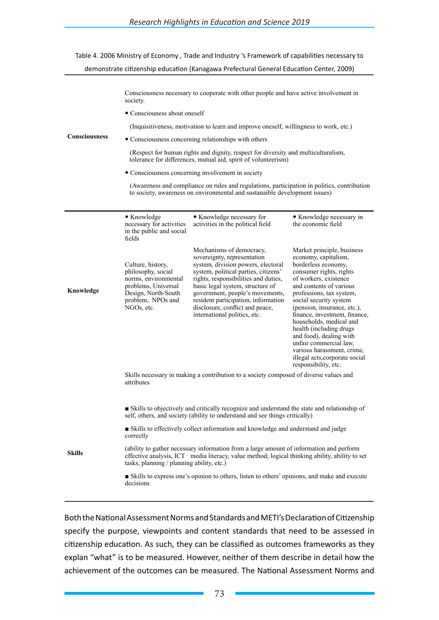## Table 4. 2006 Ministry of Economy , Trade and Industry 's Framework of capabilities necessary to demonstrate citizenship education (Kanagawa Prefectural General Education Center, 2009)

|               | Consciousness necessary to cooperate with other people and have active involvement in<br>society.                                                                            |                                                                                                                                                                                                                                                                                                                                                                |                                                                                                                                                                                                                                                                                                                                                                                                                                                                                   |  |  |  |  |  |  |
|---------------|------------------------------------------------------------------------------------------------------------------------------------------------------------------------------|----------------------------------------------------------------------------------------------------------------------------------------------------------------------------------------------------------------------------------------------------------------------------------------------------------------------------------------------------------------|-----------------------------------------------------------------------------------------------------------------------------------------------------------------------------------------------------------------------------------------------------------------------------------------------------------------------------------------------------------------------------------------------------------------------------------------------------------------------------------|--|--|--|--|--|--|
|               | • Consciouness about oneself                                                                                                                                                 |                                                                                                                                                                                                                                                                                                                                                                |                                                                                                                                                                                                                                                                                                                                                                                                                                                                                   |  |  |  |  |  |  |
| Consciousness | (Inquisitiveness, motivation to learn and improve oneself, willingness to work, etc.)                                                                                        |                                                                                                                                                                                                                                                                                                                                                                |                                                                                                                                                                                                                                                                                                                                                                                                                                                                                   |  |  |  |  |  |  |
|               |                                                                                                                                                                              | • Consciousness concerning relationships with others                                                                                                                                                                                                                                                                                                           |                                                                                                                                                                                                                                                                                                                                                                                                                                                                                   |  |  |  |  |  |  |
|               |                                                                                                                                                                              | (Respect for human rights and dignity, respect for diversity and multiculturalism,<br>tolerance for differences, mutual aid, spirit of volunteerism)                                                                                                                                                                                                           |                                                                                                                                                                                                                                                                                                                                                                                                                                                                                   |  |  |  |  |  |  |
|               |                                                                                                                                                                              | • Consciousness concerning involvement in society                                                                                                                                                                                                                                                                                                              |                                                                                                                                                                                                                                                                                                                                                                                                                                                                                   |  |  |  |  |  |  |
|               |                                                                                                                                                                              | (Awareness and compliance on rules and regulations, participation in politics, contribution<br>to society, awareness on environmental and sustanaible development issues)                                                                                                                                                                                      |                                                                                                                                                                                                                                                                                                                                                                                                                                                                                   |  |  |  |  |  |  |
|               | • Knowledge<br>necessary for activities<br>in the public and social<br>fields                                                                                                | • Knowledge necessary for<br>activities in the political field                                                                                                                                                                                                                                                                                                 | • Knowledge necessary in<br>the economic field                                                                                                                                                                                                                                                                                                                                                                                                                                    |  |  |  |  |  |  |
| Knowledge     | Culture, history,<br>philosophy, social<br>norms, environmental<br>problems, Universal<br>Design, North-South<br>problem, NPOs and<br>NGOs, etc.                             | Mechanisms of democracy,<br>sovereignty, representation<br>system, division powers, electoral<br>system, political parties, citizens'<br>rights, responsibilities and duties,<br>basic legal system, structure of<br>government, people's movements,<br>resident participation, information<br>disclosure, conflict and peace,<br>international politics, etc. | Market principle, business<br>economy, capitalism,<br>borderless economy,<br>consumer rights, rights<br>of workers, existence<br>and contents of various<br>professions, tax system,<br>social security system<br>(pension, insurance, etc.),<br>finance, investment, finance,<br>households, medical and<br>health (including drugs<br>and food), dealing with<br>unfair commercial law,<br>various harassment, crime,<br>illegal acts, corporate social<br>responsibility, etc. |  |  |  |  |  |  |
|               | Skills necessary in making a contribution to a society composed of diverse values and<br>attributes                                                                          |                                                                                                                                                                                                                                                                                                                                                                |                                                                                                                                                                                                                                                                                                                                                                                                                                                                                   |  |  |  |  |  |  |
|               | ■ Skills to objectively and critically recognize and understand the state and relationship of<br>self, others, and society (ability to understand and see things critically) |                                                                                                                                                                                                                                                                                                                                                                |                                                                                                                                                                                                                                                                                                                                                                                                                                                                                   |  |  |  |  |  |  |
|               | correctly                                                                                                                                                                    | ■ Skills to effectively collect information and knowledge and understand and judge                                                                                                                                                                                                                                                                             |                                                                                                                                                                                                                                                                                                                                                                                                                                                                                   |  |  |  |  |  |  |
| <b>Skills</b> | tasks, planning / planning ability, etc.)                                                                                                                                    | (ability to gather necessary information from a large amount of information and perform<br>effective analysis, ICT media literacy, value method; logical thinking ability, ability to set                                                                                                                                                                      |                                                                                                                                                                                                                                                                                                                                                                                                                                                                                   |  |  |  |  |  |  |
|               | Skills to express one's opinion to others, listen to others' opinions, and make and execute<br>decisions                                                                     |                                                                                                                                                                                                                                                                                                                                                                |                                                                                                                                                                                                                                                                                                                                                                                                                                                                                   |  |  |  |  |  |  |

Both the National Assessment Norms and Standards and METI's Declaration of Citizenship specify the purpose, viewpoints and content standards that need to be assessed in citizenship education. As such, they can be classified as outcomes frameworks as they explan "what" is to be measured. However, neither of them describe in detail how the achievement of the outcomes can be measured. The National Assessment Norms and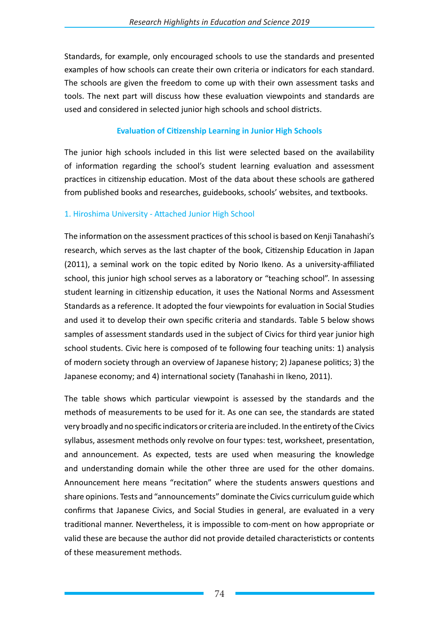Standards, for example, only encouraged schools to use the standards and presented examples of how schools can create their own criteria or indicators for each standard. The schools are given the freedom to come up with their own assessment tasks and tools. The next part will discuss how these evaluation viewpoints and standards are used and considered in selected junior high schools and school districts.

## **Evaluation of Citizenship Learning in Junior High Schools**

The junior high schools included in this list were selected based on the availability of information regarding the school's student learning evaluation and assessment practices in citizenship education. Most of the data about these schools are gathered from published books and researches, guidebooks, schools' websites, and textbooks.

## 1. Hiroshima University - Attached Junior High School

The information on the assessment practices of this school is based on Kenji Tanahashi's research, which serves as the last chapter of the book, Citizenship Education in Japan (2011), a seminal work on the topic edited by Norio Ikeno. As a university-affiliated school, this junior high school serves as a laboratory or "teaching school". In assessing student learning in citizenship education, it uses the National Norms and Assessment Standards as a reference. It adopted the four viewpoints for evaluation in Social Studies and used it to develop their own specific criteria and standards. Table 5 below shows samples of assessment standards used in the subject of Civics for third year junior high school students. Civic here is composed of te following four teaching units: 1) analysis of modern society through an overview of Japanese history; 2) Japanese politics; 3) the Japanese economy; and 4) international society (Tanahashi in Ikeno, 2011).

The table shows which particular viewpoint is assessed by the standards and the methods of measurements to be used for it. As one can see, the standards are stated very broadly and no specific indicators or criteria are included. In the entirety of the Civics syllabus, assesment methods only revolve on four types: test, worksheet, presentation, and announcement. As expected, tests are used when measuring the knowledge and understanding domain while the other three are used for the other domains. Announcement here means "recitation" where the students answers questions and share opinions. Tests and "announcements" dominate the Civics curriculum guide which confirms that Japanese Civics, and Social Studies in general, are evaluated in a very traditional manner. Nevertheless, it is impossible to com-ment on how appropriate or valid these are because the author did not provide detailed characteristicts or contents of these measurement methods.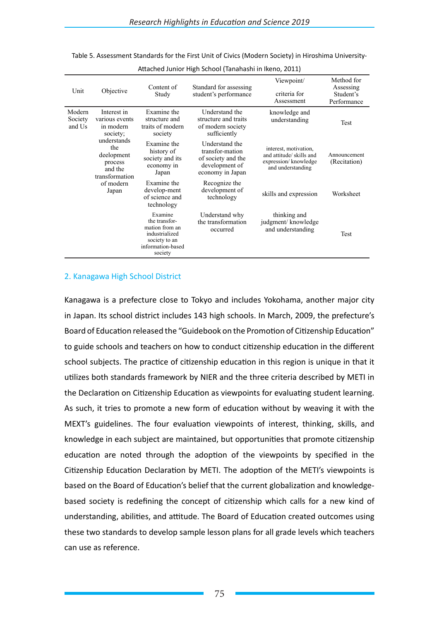| Unit                        | Objective                                                                | Content of<br>Study                                                                                           | Standard for assessing<br>student's performance                                               | Viewpoint/<br>criteria for<br>Assessment                                                      | Method for<br>Assessing<br>Student's<br>Performance |
|-----------------------------|--------------------------------------------------------------------------|---------------------------------------------------------------------------------------------------------------|-----------------------------------------------------------------------------------------------|-----------------------------------------------------------------------------------------------|-----------------------------------------------------|
| Modern<br>Society<br>and Us | Interest in<br>various events<br>in modern<br>society;                   | Examine the<br>structure and<br>traits of modern<br>society                                                   | Understand the<br>structure and traits<br>of modern society<br>sufficiently                   | knowledge and<br>understanding                                                                | Test                                                |
|                             | understands<br>the<br>deelopment<br>process<br>and the<br>transformation | Examine the<br>history of<br>society and its<br>economy in<br>Japan                                           | Understand the<br>transfor-mation<br>of society and the<br>development of<br>economy in Japan | interest, motivation,<br>and attitude/skills and<br>expression/knowledge<br>and understanding | Announcement<br>(Recitation)                        |
|                             | of modern<br>Japan                                                       | Examine the<br>develop-ment<br>of science and<br>technology                                                   | Recognize the<br>development of<br>technology                                                 | skills and expression                                                                         | Worksheet                                           |
|                             |                                                                          | Examine<br>the transfor-<br>mation from an<br>industrialized<br>society to an<br>information-based<br>society | Understand why<br>the transformation<br>occurred                                              | thinking and<br>judgment/knowledge<br>and understanding                                       | Test                                                |

Table 5. Assessment Standards for the First Unit of Civics (Modern Society) in Hiroshima University-

#### Attached Junior High School (Tanahashi in Ikeno, 2011)

### 2. Kanagawa High School District

Kanagawa is a prefecture close to Tokyo and includes Yokohama, another major city in Japan. Its school district includes 143 high schools. In March, 2009, the prefecture's Board of Education released the "Guidebook on the Promotion of Citizenship Education" to guide schools and teachers on how to conduct citizenship education in the different school subjects. The practice of citizenship education in this region is unique in that it utilizes both standards framework by NIER and the three criteria described by METI in the Declaration on Citizenship Education as viewpoints for evaluating student learning. As such, it tries to promote a new form of education without by weaving it with the MEXT's guidelines. The four evaluation viewpoints of interest, thinking, skills, and knowledge in each subject are maintained, but opportunities that promote citizenship education are noted through the adoption of the viewpoints by specified in the Citizenship Education Declaration by METI. The adoption of the METI's viewpoints is based on the Board of Education's belief that the current globalization and knowledgebased society is redefining the concept of citizenship which calls for a new kind of understanding, abilities, and attitude. The Board of Education created outcomes using these two standards to develop sample lesson plans for all grade levels which teachers can use as reference.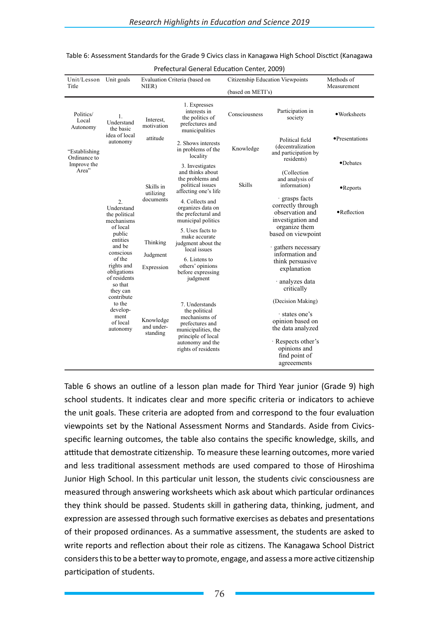| Unit/Lesson<br>Title           | Unit goals                                                    | NIER)                                                                             | Evaluation Criteria (based on                                                                                                                               |                                                                               | Citizenship Education Viewpoints                                                                                                                 | Methods of<br>Measurement     |
|--------------------------------|---------------------------------------------------------------|-----------------------------------------------------------------------------------|-------------------------------------------------------------------------------------------------------------------------------------------------------------|-------------------------------------------------------------------------------|--------------------------------------------------------------------------------------------------------------------------------------------------|-------------------------------|
|                                |                                                               |                                                                                   |                                                                                                                                                             | (based on METI's)                                                             |                                                                                                                                                  |                               |
| Politics/<br>Local<br>Autonomy | 1.<br>Understand<br>the basic                                 | Interest.<br>motivation                                                           | 1. Expresses<br>interests in<br>the politics of<br>prefectures and<br>municipalities                                                                        | Consciousness                                                                 | Participation in<br>society                                                                                                                      | · Worksheets                  |
| "Establishing"<br>Ordinance to | autonomy                                                      | idea of local<br>attitude<br>2. Shows interests<br>in problems of the<br>locality |                                                                                                                                                             | Knowledge                                                                     | Political field<br>(decentralization<br>and participation by                                                                                     | • Presentations               |
| Improve the<br>Area"           |                                                               | Skills in<br>utilizing                                                            | 3. Investigates<br>and thinks about<br>the problems and<br>political issues<br>affecting one's life                                                         | residents)<br>(Collection<br>and analysis of<br><b>Skills</b><br>information) |                                                                                                                                                  | •Debates<br>$\bullet$ Reports |
|                                | $\overline{2}$ .<br>Understand<br>the political<br>mechanisms | documents                                                                         | 4. Collects and<br>organizes data on<br>the prefectural and<br>municipal politics                                                                           |                                                                               | · grasps facts<br>correctly through<br>observation and<br>investigation and                                                                      | •Reflection                   |
|                                | of local<br>public<br>entities<br>and be<br>conscious         | Thinking<br>Judgment<br>Expression                                                | 5. Uses facts to<br>make accurate<br>judgment about the<br>local issues                                                                                     |                                                                               | organize them<br>based on viewpoint<br>gathers necessary                                                                                         |                               |
|                                | of the<br>rights and<br>obligations                           |                                                                                   | 6. Listens to<br>others' opinions<br>before expressing                                                                                                      |                                                                               | information and<br>think persuasive<br>explanation                                                                                               |                               |
|                                | of residents<br>so that<br>they can<br>contribute             |                                                                                   | judgment                                                                                                                                                    |                                                                               | · analyzes data<br>critically                                                                                                                    |                               |
|                                | to the<br>develop-<br>ment<br>of local<br>autonomy            | Knowledge<br>and under-<br>standing                                               | 7. Understands<br>the political<br>mechanisms of<br>prefectures and<br>municipalities, the<br>principle of local<br>autonomy and the<br>rights of residents |                                                                               | (Decision Making)<br>states one's<br>opinion based on<br>the data analyzed<br>· Respects other's<br>opinions and<br>find point of<br>agreeements |                               |

| Table 6: Assessment Standards for the Grade 9 Civics class in Kanagawa High School Disctict (Kanagawa |  |  |  |  |
|-------------------------------------------------------------------------------------------------------|--|--|--|--|
|-------------------------------------------------------------------------------------------------------|--|--|--|--|

Prefectural General Education Center, 2009)

Table 6 shows an outline of a lesson plan made for Third Year junior (Grade 9) high school students. It indicates clear and more specific criteria or indicators to achieve the unit goals. These criteria are adopted from and correspond to the four evaluation viewpoints set by the National Assessment Norms and Standards. Aside from Civicsspecific learning outcomes, the table also contains the specific knowledge, skills, and attitude that demostrate citizenship. To measure these learning outcomes, more varied and less traditional assessment methods are used compared to those of Hiroshima Junior High School. In this particular unit lesson, the students civic consciousness are measured through answering worksheets which ask about which particular ordinances they think should be passed. Students skill in gathering data, thinking, judment, and expression are assessed through such formative exercises as debates and presentations of their proposed ordinances. As a summative assessment, the students are asked to write reports and reflection about their role as citizens. The Kanagawa School District considers this to be a better way to promote, engage, and assess a more active citizenship participation of students.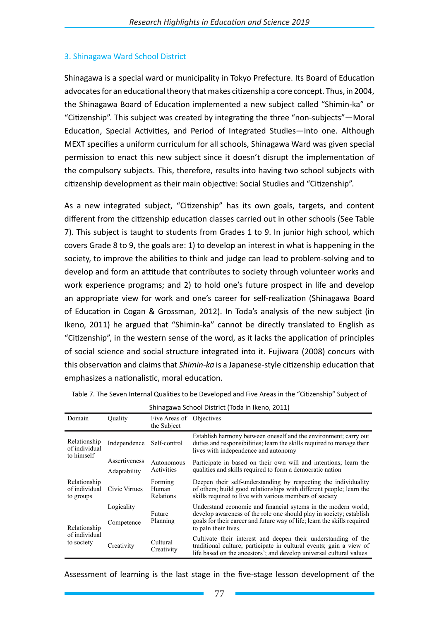## 3. Shinagawa Ward School District

Shinagawa is a special ward or municipality in Tokyo Prefecture. Its Board of Education advocates for an educational theory that makes citizenship a core concept. Thus, in 2004, the Shinagawa Board of Education implemented a new subject called "Shimin-ka" or "Citizenship". This subject was created by integrating the three "non-subjects"—Moral Education, Special Activities, and Period of Integrated Studies—into one. Although MEXT specifies a uniform curriculum for all schools, Shinagawa Ward was given special permission to enact this new subject since it doesn't disrupt the implementation of the compulsory subjects. This, therefore, results into having two school subjects with citizenship development as their main objective: Social Studies and "Citizenship".

As a new integrated subject, "Citizenship" has its own goals, targets, and content different from the citizenship education classes carried out in other schools (See Table 7). This subject is taught to students from Grades 1 to 9. In junior high school, which covers Grade 8 to 9, the goals are: 1) to develop an interest in what is happening in the society, to improve the abilities to think and judge can lead to problem-solving and to develop and form an attitude that contributes to society through volunteer works and work experience programs; and 2) to hold one's future prospect in life and develop an appropriate view for work and one's career for self-realization (Shinagawa Board of Education in Cogan & Grossman, 2012). In Toda's analysis of the new subject (in Ikeno, 2011) he argued that "Shimin-ka" cannot be directly translated to English as "Citizenship", in the western sense of the word, as it lacks the application of principles of social science and social structure integrated into it. Fujiwara (2008) concurs with this observation and claims that *Shimin-ka* is a Japanese-style citizenship education that emphasizes a nationalistic, moral education.

| Shinagawa School District (Toda in Ikeno, 2011) |                          |                                         |                                                                                                                                                                                                                                          |  |  |  |  |
|-------------------------------------------------|--------------------------|-----------------------------------------|------------------------------------------------------------------------------------------------------------------------------------------------------------------------------------------------------------------------------------------|--|--|--|--|
| Domain                                          | Ouality                  | Five Areas of Objectives<br>the Subject |                                                                                                                                                                                                                                          |  |  |  |  |
| Relationship<br>of individual<br>to himself     | Independence             | Self-control                            | Establish harmony between oneself and the environment; carry out<br>duties and responsibilities; learn the skills required to manage their<br>lives with independence and autonomy                                                       |  |  |  |  |
|                                                 | Assertiveness            | Autonomous                              | Participate in based on their own will and intentions; learn the                                                                                                                                                                         |  |  |  |  |
|                                                 | Adaptability             | Activities                              | qualities and skills required to form a democratic nation                                                                                                                                                                                |  |  |  |  |
| Relationship<br>of individual<br>to groups      | Civic Virtues            | Forming<br>Human<br>Relations           | Deepen their self-understanding by respecting the individuality<br>of others; build good relationships with different people; learn the<br>skills required to live with various members of society                                       |  |  |  |  |
| Relationship<br>of individual<br>to society     | Logicality<br>Competence | Future<br>Planning                      | Understand economic and financial sytems in the modern world;<br>develop awareness of the role one should play in society; establish<br>goals for their career and future way of life; learn the skills required<br>to paln their lives. |  |  |  |  |
|                                                 | Creativity               | Cultural<br>Creativity                  | Cultivate their interest and deepen their understanding of the<br>traditional culture; participate in cultural events; gain a view of<br>life based on the ancestors'; and develop universal cultural values                             |  |  |  |  |

Table 7. The Seven Internal Qualities to be Developed and Five Areas in the "Citizenship" Subject of

Shinagawa School District (Toda in Ikeno, 2011)

Assessment of learning is the last stage in the five-stage lesson development of the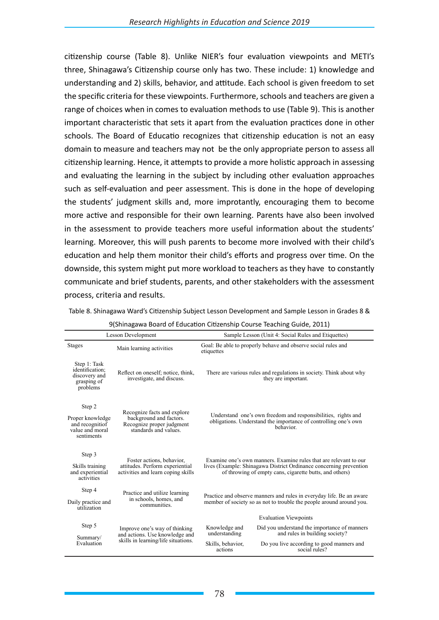citizenship course (Table 8). Unlike NIER's four evaluation viewpoints and METI's three, Shinagawa's Citizenship course only has two. These include: 1) knowledge and understanding and 2) skills, behavior, and attitude. Each school is given freedom to set the specific criteria for these viewpoints. Furthermore, schools and teachers are given a range of choices when in comes to evaluation methods to use (Table 9). This is another important characteristic that sets it apart from the evaluation practices done in other schools. The Board of Educatio recognizes that citizenship education is not an easy domain to measure and teachers may not be the only appropriate person to assess all citizenship learning. Hence, it attempts to provide a more holistic approach in assessing and evaluating the learning in the subject by including other evaluation approaches such as self-evaluation and peer assessment. This is done in the hope of developing the students' judgment skills and, more improtantly, encouraging them to become more active and responsible for their own learning. Parents have also been involved in the assessment to provide teachers more useful information about the students' learning. Moreover, this will push parents to become more involved with their child's education and help them monitor their child's efforts and progress over time. On the downside, this system might put more workload to teachers as they have to constantly communicate and brief students, parents, and other stakeholders with the assessment process, criteria and results.

Table 8. Shinagawa Ward's Citizenship Subject Lesson Development and Sample Lesson in Grades 8 &

|                                                                                | <b>Lesson Development</b>                                                                                    | Sample Lesson (Unit 4: Social Rules and Etiquettes)                                                                                                                                                |  |  |  |  |
|--------------------------------------------------------------------------------|--------------------------------------------------------------------------------------------------------------|----------------------------------------------------------------------------------------------------------------------------------------------------------------------------------------------------|--|--|--|--|
| <b>Stages</b>                                                                  | Main learning activities                                                                                     | Goal: Be able to properly behave and observe social rules and<br>etiquettes                                                                                                                        |  |  |  |  |
| Step 1: Task<br>identification:<br>discovery and<br>grasping of<br>problems    | Reflect on oneself; notice, think,<br>investigate, and discuss.                                              | There are various rules and regulations in society. Think about why<br>they are important.                                                                                                         |  |  |  |  |
| Step 2<br>Proper knowledge<br>and recognitiof<br>value and moral<br>sentiments | Recognize facts and explore<br>background and factors.<br>Recognize proper judgment<br>standards and values. | Understand one's own freedom and responsibilities, rights and<br>obligations. Understand the importance of controlling one's own<br>hehavior                                                       |  |  |  |  |
| Step 3<br>Skills training<br>and experiential<br>activities                    | Foster actions, behavior,<br>attitudes. Perform experiential<br>activities and learn coping skills           | Examine one's own manners. Examine rules that are relevant to our<br>lives (Example: Shinagawa District Ordinance concerning prevention<br>of throwing of empty cans, cigarette butts, and others) |  |  |  |  |
| Step 4                                                                         | Practice and utilize learning                                                                                |                                                                                                                                                                                                    |  |  |  |  |
| Daily practice and<br>utilization                                              | in schools, homes, and<br>communities.                                                                       | Practice and observe manners and rules in everyday life. Be an aware<br>member of society so as not to trouble the people around around you.                                                       |  |  |  |  |
|                                                                                |                                                                                                              | <b>Evaluation Viewpoints</b>                                                                                                                                                                       |  |  |  |  |
| Step 5<br>Summary/                                                             | Improve one's way of thinking<br>and actions. Use knowledge and                                              | Did you understand the importance of manners<br>Knowledge and<br>understanding<br>and rules in building society?                                                                                   |  |  |  |  |
| Evaluation                                                                     | skills in learning/life situations.                                                                          | Skills, behavior,<br>Do you live according to good manners and<br>social rules?<br>actions                                                                                                         |  |  |  |  |

9(Shinagawa Board of Education Citizenship Course Teaching Guide, 2011)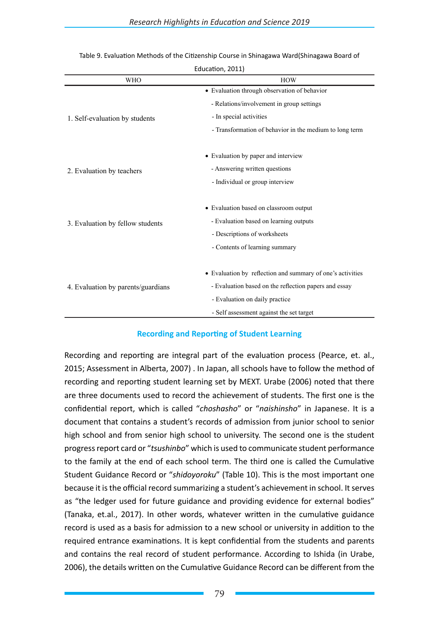| EUUCALION, ZUII)                   |                                                            |  |  |  |  |
|------------------------------------|------------------------------------------------------------|--|--|--|--|
| <b>WHO</b>                         | <b>HOW</b>                                                 |  |  |  |  |
|                                    | • Evaluation through observation of behavior               |  |  |  |  |
|                                    | - Relations/involvement in group settings                  |  |  |  |  |
| 1. Self-evaluation by students     | - In special activities                                    |  |  |  |  |
|                                    | - Transformation of behavior in the medium to long term    |  |  |  |  |
|                                    | • Evaluation by paper and interview                        |  |  |  |  |
| 2. Evaluation by teachers          | - Answering written questions                              |  |  |  |  |
|                                    | - Individual or group interview                            |  |  |  |  |
|                                    | • Evaluation based on classroom output                     |  |  |  |  |
| 3. Evaluation by fellow students   | - Evaluation based on learning outputs                     |  |  |  |  |
|                                    | - Descriptions of worksheets                               |  |  |  |  |
|                                    | - Contents of learning summary                             |  |  |  |  |
|                                    | • Evaluation by reflection and summary of one's activities |  |  |  |  |
| 4. Evaluation by parents/guardians | - Evaluation based on the reflection papers and essay      |  |  |  |  |
|                                    | - Evaluation on daily practice                             |  |  |  |  |
|                                    | - Self assessment against the set target                   |  |  |  |  |

#### Table 9. Evaluation Methods of the Citizenship Course in Shinagawa Ward(Shinagawa Board of Education, 2011)

### **Recording and Reporting of Student Learning**

Recording and reporting are integral part of the evaluation process (Pearce, et. al., 2015; Assessment in Alberta, 2007) . In Japan, all schools have to follow the method of recording and reporting student learning set by MEXT. Urabe (2006) noted that there are three documents used to record the achievement of students. The first one is the confidential report, which is called "*choshasho*" or "*naishinsho*" in Japanese. It is a document that contains a student's records of admission from junior school to senior high school and from senior high school to university. The second one is the student progress report card or "*tsushinbo*" which is used to communicate student performance to the family at the end of each school term. The third one is called the Cumulative Student Guidance Record or "*shidoyoroku*" (Table 10). This is the most important one because it is the official record summarizing a student's achievement in school. It serves as "the ledger used for future guidance and providing evidence for external bodies" (Tanaka, et.al., 2017). In other words, whatever written in the cumulative guidance record is used as a basis for admission to a new school or university in addition to the required entrance examinations. It is kept confidential from the students and parents and contains the real record of student performance. According to Ishida (in Urabe, 2006), the details written on the Cumulative Guidance Record can be different from the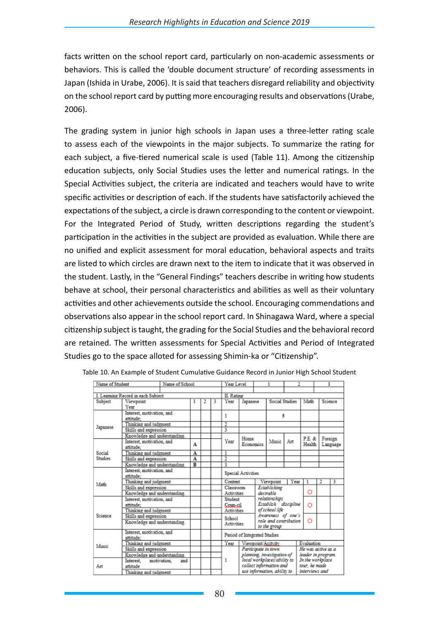facts written on the school report card, particularly on non-academic assessments or behaviors. This is called the 'double document structure' of recording assessments in Japan (Ishida in Urabe, 2006). It is said that teachers disregard reliability and objectivity on the school report card by putting more encouraging results and observations (Urabe, 2006).

The grading system in junior high schools in Japan uses a three-letter rating scale to assess each of the viewpoints in the major subjects. To summarize the rating for each subject, a five-tiered numerical scale is used (Table 11). Among the citizenship education subjects, only Social Studies uses the letter and numerical ratings. In the Special Activities subject, the criteria are indicated and teachers would have to write specific activities or description of each. If the students have satisfactorily achieved the expectations of the subject, a circle is drawn corresponding to the content or viewpoint. For the Integrated Period of Study, written descriptions regarding the student's participation in the activities in the subject are provided as evaluation. While there are no unified and explicit assessment for moral education, behavioral aspects and traits are listed to which circles are drawn next to the item to indicate that it was observed in the student. Lastly, in the "General Findings" teachers describe in writing how students behave at school, their personal characteristics and abilities as well as their voluntary activities and other achievements outside the school. Encouraging commendations and observations also appear in the school report card. In Shinagawa Ward, where a special citizenship subject is taught, the grading for the Social Studies and the behavioral record are retained. The written assessments for Special Activities and Period of Integrated Studies go to the space alloted for assessing Shimin-ka or "Citizenship".

| Name of Student              |                                        | Name of School        |                |  |                            | Year Level         |                                   |                                               |                                       |        |                     | 3       |  |
|------------------------------|----------------------------------------|-----------------------|----------------|--|----------------------------|--------------------|-----------------------------------|-----------------------------------------------|---------------------------------------|--------|---------------------|---------|--|
|                              |                                        |                       |                |  |                            |                    |                                   |                                               |                                       |        |                     |         |  |
|                              | I. Learning Record in each Subject     |                       |                |  | II. Rating                 |                    |                                   |                                               |                                       |        |                     |         |  |
| Subject                      | Viewpoint                              |                       |                |  | 3                          | Year               | Japanese                          |                                               | Social Studies                        |        | Math                | Science |  |
|                              | Year                                   |                       |                |  |                            |                    |                                   |                                               |                                       |        |                     |         |  |
|                              | Interest, motivation, and              |                       |                |  |                            | 1                  |                                   |                                               | 5                                     |        |                     |         |  |
|                              | attitude:                              |                       |                |  |                            |                    |                                   |                                               |                                       |        |                     |         |  |
| Japanese                     | Thinking and judgment                  |                       |                |  |                            | 2                  |                                   |                                               |                                       |        |                     |         |  |
|                              | Skills and expression                  |                       |                |  |                            | 3                  |                                   |                                               |                                       |        |                     |         |  |
|                              | Knowledge and understanding.           |                       |                |  |                            |                    |                                   |                                               |                                       |        | P.E &               |         |  |
|                              | Interest, motivation, and<br>sttittet: |                       | A              |  |                            | Year               | Home<br>Music<br>Art<br>Economics |                                               |                                       | Health | Foreign<br>Language |         |  |
| Social                       | Thinking and judgment                  |                       | A              |  |                            | 1                  |                                   |                                               |                                       |        |                     |         |  |
| Studies                      | Skills and expression                  |                       | A              |  |                            | $\overline{2}$     |                                   |                                               |                                       |        |                     |         |  |
|                              | Knowledge and understanding.           |                       | $\overline{B}$ |  |                            | ŝ                  |                                   |                                               |                                       |        |                     |         |  |
| Interest, motivation, and    |                                        |                       |                |  |                            | Special Activities |                                   |                                               |                                       |        |                     |         |  |
|                              | attitude:                              |                       |                |  |                            |                    |                                   |                                               |                                       |        |                     |         |  |
| Math                         | Thinking and judgment                  |                       |                |  |                            | Content            |                                   | Viewpoint                                     | Year                                  |        | 2                   | 3       |  |
|                              |                                        | Skills and expression |                |  |                            | Classroom          |                                   | Establishing                                  |                                       | O      |                     |         |  |
|                              | Knowledge and understanding.           |                       |                |  |                            | Activities         |                                   | desirable                                     |                                       |        |                     |         |  |
|                              | Interest, motivation, and              |                       |                |  |                            | Student            |                                   | relationships                                 |                                       |        |                     |         |  |
|                              |                                        | attitude:             |                |  |                            | Coun-cil           |                                   | Establish discipline                          |                                       | O      |                     |         |  |
|                              | Thinking and judgment                  |                       |                |  |                            | Activities         |                                   |                                               | of school life<br>Awareness of one's  |        |                     |         |  |
| Science                      | Skills and expression                  |                       |                |  |                            | School             |                                   |                                               |                                       |        | O                   |         |  |
|                              | Knowledge and understanding.           |                       |                |  |                            | <b>Activities</b>  |                                   |                                               | role and contribution<br>to the group |        |                     |         |  |
|                              | Interest, motivation, and              |                       |                |  |                            |                    |                                   |                                               |                                       |        |                     |         |  |
|                              | attitude:                              |                       |                |  |                            |                    | Period of Integrated Studies      |                                               |                                       |        |                     |         |  |
| Music                        | Thinking and judgment                  |                       |                |  |                            | Year               |                                   |                                               | Viewpoint/Acityity                    |        | Evaluation          |         |  |
|                              | Skills and expression                  |                       |                |  |                            |                    |                                   |                                               | Participate in town                   |        | He was active as a  |         |  |
| Knowledge and understanding. |                                        |                       |                |  | planning, investigation of |                    | leader in program.                |                                               |                                       |        |                     |         |  |
|                              | Interest.                              | and<br>motivation.    |                |  |                            | 1                  |                                   |                                               | local workplaces/ability to           |        | In the workplace    |         |  |
| Art                          | attitude                               |                       |                |  |                            |                    |                                   |                                               | collect information and               |        | tour, he made       |         |  |
|                              | Thinking and judgment                  |                       |                |  |                            |                    |                                   | use information, ability to<br>interviews and |                                       |        |                     |         |  |

|  |  | Table 10. An Example of Student Cumulative Guidance Record in Junior High School Student |
|--|--|------------------------------------------------------------------------------------------|
|--|--|------------------------------------------------------------------------------------------|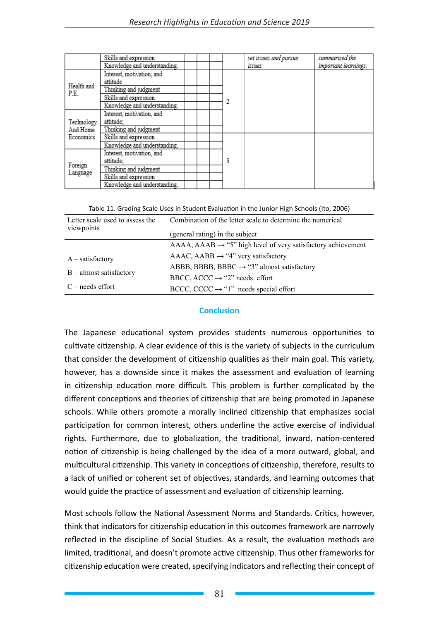|                                     | Skills and expression        |  |  | set issues and pursue | summarized the       |
|-------------------------------------|------------------------------|--|--|-----------------------|----------------------|
|                                     | Knowledge and understanding. |  |  | issues                | important learnings. |
| Health and<br>P.E.                  | Interest, motivation, and    |  |  |                       |                      |
|                                     | attitude                     |  |  |                       |                      |
|                                     | Thinking and judgment        |  |  |                       |                      |
|                                     | Skills and expression        |  |  |                       |                      |
|                                     | Knowledge and understanding. |  |  |                       |                      |
| Technology<br>And Home<br>Economics | Interest, motivation, and    |  |  |                       |                      |
|                                     | attitude:                    |  |  |                       |                      |
|                                     | Thinking and judgment        |  |  |                       |                      |
|                                     | Skills and expression        |  |  |                       |                      |
|                                     | Knowledge and understanding. |  |  |                       |                      |
| Foreign<br>Language                 | Interest, motivation, and    |  |  |                       |                      |
|                                     | attitude:                    |  |  |                       |                      |
|                                     | Thinking and judgment        |  |  |                       |                      |
|                                     | Skills and expression        |  |  |                       |                      |
|                                     | Knowledge and understanding. |  |  |                       |                      |

Table 11. Grading Scale Uses in Student Evaluation in the Junior High Schools (Ito, 2006)

| Letter scale used to assess the<br>viewpoints   | Combination of the letter scale to determine the numerical<br>(general rating) in the subject |
|-------------------------------------------------|-----------------------------------------------------------------------------------------------|
|                                                 | $AAAA$ , $AABA \rightarrow$ "5" high level of very satisfactory achievement                   |
| $A$ – satisfactory<br>$B -$ almost satisfactory | $AAAC$ , $AABB \rightarrow "4"$ very satisfactory                                             |
|                                                 | ABBB, BBBB, BBBC $\rightarrow$ "3" almost satisfactory                                        |
|                                                 | BBCC, ACCC $\rightarrow$ "2" needs. effort                                                    |
| $C$ – needs effort                              | BCCC, CCCC $\rightarrow$ "1" needs special effort                                             |

### **Conclusion**

The Japanese educational system provides students numerous opportunities to cultivate citizenship. A clear evidence of this is the variety of subjects in the curriculum that consider the development of citizenship qualities as their main goal. This variety, however, has a downside since it makes the assessment and evaluation of learning in citizenship education more difficult. This problem is further complicated by the different conceptions and theories of citizenship that are being promoted in Japanese schools. While others promote a morally inclined citizenship that emphasizes social participation for common interest, others underline the active exercise of individual rights. Furthermore, due to globalization, the traditional, inward, nation-centered notion of citizenship is being challenged by the idea of a more outward, global, and multicultural citizenship. This variety in conceptions of citizenship, therefore, results to a lack of unified or coherent set of objectives, standards, and learning outcomes that would guide the practice of assessment and evaluation of citizenship learning.

Most schools follow the National Assessment Norms and Standards. Critics, however, think that indicators for citizenship education in this outcomes framework are narrowly reflected in the discipline of Social Studies. As a result, the evaluation methods are limited, traditional, and doesn't promote active citizenship. Thus other frameworks for citizenship education were created, specifying indicators and reflecting their concept of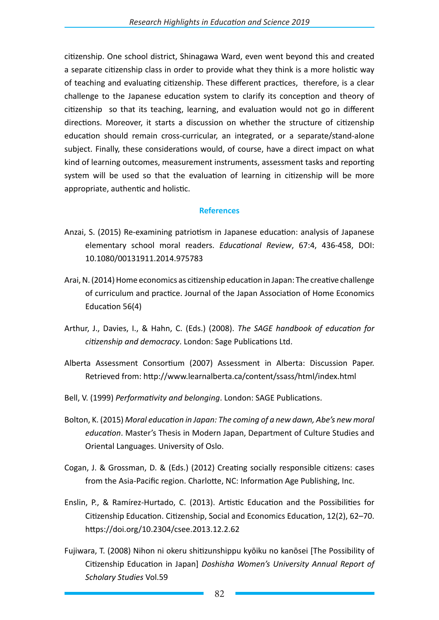citizenship. One school district, Shinagawa Ward, even went beyond this and created a separate citizenship class in order to provide what they think is a more holistic way of teaching and evaluating citizenship. These different practices, therefore, is a clear challenge to the Japanese education system to clarify its conception and theory of citizenship so that its teaching, learning, and evaluation would not go in different directions. Moreover, it starts a discussion on whether the structure of citizenship education should remain cross-curricular, an integrated, or a separate/stand-alone subject. Finally, these considerations would, of course, have a direct impact on what kind of learning outcomes, measurement instruments, assessment tasks and reporting system will be used so that the evaluation of learning in citizenship will be more appropriate, authentic and holistic.

### **References**

- Anzai, S. (2015) Re-examining patriotism in Japanese education: analysis of Japanese elementary school moral readers. *Educational Review*, 67:4, 436-458, DOI: 10.1080/00131911.2014.975783
- Arai, N. (2014) Home economics as citizenship education in Japan: The creative challenge of curriculum and practice. Journal of the Japan Association of Home Economics Education 56(4)
- Arthur, J., Davies, I., & Hahn, C. (Eds.) (2008). *The SAGE handbook of education for citizenship and democracy*. London: Sage Publications Ltd.
- Alberta Assessment Consortium (2007) Assessment in Alberta: Discussion Paper. Retrieved from: http://www.learnalberta.ca/content/ssass/html/index.html
- Bell, V. (1999) *Performativity and belonging*. London: SAGE Publications.
- Bolton, K. (2015) *Moral education in Japan: The coming of a new dawn, Abe's new moral education*. Master's Thesis in Modern Japan, Department of Culture Studies and Oriental Languages. University of Oslo.
- Cogan, J. & Grossman, D. & (Eds.) (2012) Creating socially responsible citizens: cases from the Asia-Pacific region. Charlotte, NC: Information Age Publishing, Inc.
- Enslin, P., & Ramírez-Hurtado, C. (2013). Artistic Education and the Possibilities for Citizenship Education. Citizenship, Social and Economics Education, 12(2), 62–70. https://doi.org/10.2304/csee.2013.12.2.62
- Fujiwara, T. (2008) Nihon ni okeru shitizunshippu kyōiku no kanōsei [The Possibility of Citizenship Education in Japan] *Doshisha Women's University Annual Report of Scholary Studies* Vol.59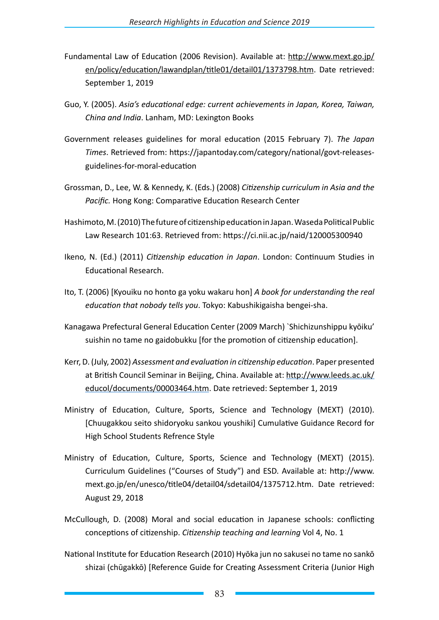- Fundamental Law of Education (2006 Revision). Available at: http://www.mext.go.jp/ en/policy/education/lawandplan/title01/detail01/1373798.htm. Date retrieved: September 1, 2019
- Guo, Y. (2005). *Asia's educational edge: current achievements in Japan, Korea, Taiwan, China and India*. Lanham, MD: Lexington Books
- Government releases guidelines for moral education (2015 February 7). *The Japan Times*. Retrieved from: https://japantoday.com/category/national/govt-releasesguidelines-for-moral-education
- Grossman, D., Lee, W. & Kennedy, K. (Eds.) (2008) *Citizenship curriculum in Asia and the Pacific.* Hong Kong: Comparative Education Research Center
- Hashimoto, M. (2010) The future of citizenship education in Japan. Waseda Political Public Law Research 101:63. Retrieved from: https://ci.nii.ac.jp/naid/120005300940
- Ikeno, N. (Ed.) (2011) *Citizenship education in Japan*. London: Continuum Studies in Educational Research.
- Ito, T. (2006) [Kyouiku no honto ga yoku wakaru hon] *A book for understanding the real education that nobody tells you*. Tokyo: Kabushikigaisha bengei-sha.
- Kanagawa Prefectural General Education Center (2009 March) `Shichizunshippu kyōiku' suishin no tame no gaidobukku [for the promotion of citizenship education].
- Kerr, D. (July, 2002) *Assessment and evaluation in citizenship education*. Paper presented at British Council Seminar in Beijing, China. Available at: http://www.leeds.ac.uk/ educol/documents/00003464.htm. Date retrieved: September 1, 2019
- Ministry of Education, Culture, Sports, Science and Technology (MEXT) (2010). [Chuugakkou seito shidoryoku sankou youshiki] Cumulative Guidance Record for High School Students Refrence Style
- Ministry of Education, Culture, Sports, Science and Technology (MEXT) (2015). Curriculum Guidelines ("Courses of Study") and ESD. Available at: http://www. mext.go.jp/en/unesco/title04/detail04/sdetail04/1375712.htm. Date retrieved: August 29, 2018
- McCullough, D. (2008) Moral and social education in Japanese schools: conflicting conceptions of citizenship. *Citizenship teaching and learning* Vol 4, No. 1
- National Institute for Education Research (2010) Hyōka jun no sakusei no tame no sankō shizai (chūgakkō) [Reference Guide for Creating Assessment Criteria (Junior High